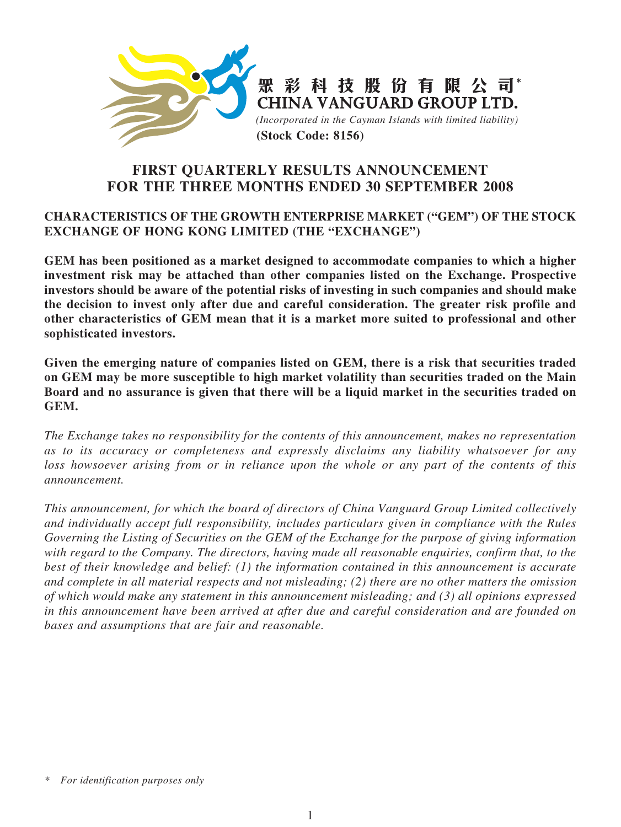

# **FIRST QUARTERLY RESULTS ANNOUNCEMENT FOR THE THREE MONTHS ENDED 30 SEPTEMBER 2008**

## **CHARACTERISTICS OF THE GROWTH ENTERPRISE MARKET ("GEM") OF THE STOCK EXCHANGE OF HONG KONG LIMITED (THE "EXCHANGE")**

**GEM has been positioned as a market designed to accommodate companies to which a higher investment risk may be attached than other companies listed on the Exchange. Prospective investors should be aware of the potential risks of investing in such companies and should make the decision to invest only after due and careful consideration. The greater risk profile and other characteristics of GEM mean that it is a market more suited to professional and other sophisticated investors.**

**Given the emerging nature of companies listed on GEM, there is a risk that securities traded on GEM may be more susceptible to high market volatility than securities traded on the Main Board and no assurance is given that there will be a liquid market in the securities traded on GEM.**

*The Exchange takes no responsibility for the contents of this announcement, makes no representation as to its accuracy or completeness and expressly disclaims any liability whatsoever for any loss howsoever arising from or in reliance upon the whole or any part of the contents of this announcement.*

*This announcement, for which the board of directors of China Vanguard Group Limited collectively and individually accept full responsibility, includes particulars given in compliance with the Rules Governing the Listing of Securities on the GEM of the Exchange for the purpose of giving information with regard to the Company. The directors, having made all reasonable enquiries, confirm that, to the best of their knowledge and belief: (1) the information contained in this announcement is accurate and complete in all material respects and not misleading; (2) there are no other matters the omission of which would make any statement in this announcement misleading; and (3) all opinions expressed in this announcement have been arrived at after due and careful consideration and are founded on bases and assumptions that are fair and reasonable.*

*<sup>\*</sup> For identification purposes only*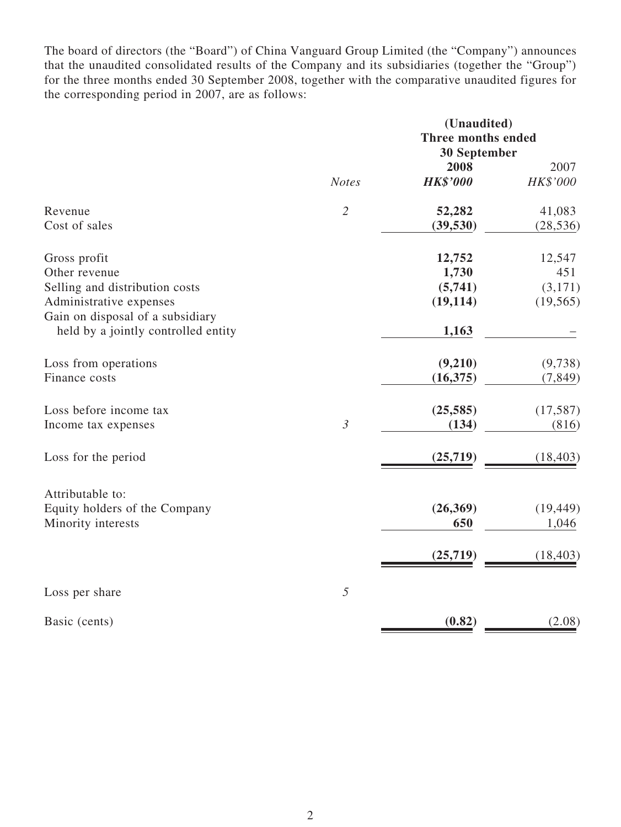The board of directors (the "Board") of China Vanguard Group Limited (the "Company") announces that the unaudited consolidated results of the Company and its subsidiaries (together the "Group") for the three months ended 30 September 2008, together with the comparative unaudited figures for the corresponding period in 2007, are as follows:

|                                                                         |                | (Unaudited)<br><b>Three months ended</b> |           |  |  |
|-------------------------------------------------------------------------|----------------|------------------------------------------|-----------|--|--|
|                                                                         |                | <b>30 September</b>                      |           |  |  |
|                                                                         |                | 2008                                     | 2007      |  |  |
|                                                                         | <b>Notes</b>   | <b>HK\$'000</b>                          | HK\$'000  |  |  |
| Revenue                                                                 | $\overline{2}$ | 52,282                                   | 41,083    |  |  |
| Cost of sales                                                           |                | (39, 530)                                | (28, 536) |  |  |
| Gross profit                                                            |                | 12,752                                   | 12,547    |  |  |
| Other revenue                                                           |                | 1,730                                    | 451       |  |  |
| Selling and distribution costs                                          |                | (5,741)                                  | (3,171)   |  |  |
| Administrative expenses                                                 |                | (19, 114)                                | (19, 565) |  |  |
| Gain on disposal of a subsidiary<br>held by a jointly controlled entity |                | 1,163                                    |           |  |  |
| Loss from operations                                                    |                | (9,210)                                  | (9,738)   |  |  |
| Finance costs                                                           |                | (16,375)                                 | (7, 849)  |  |  |
| Loss before income tax                                                  |                | (25, 585)                                | (17, 587) |  |  |
| Income tax expenses                                                     | $\mathfrak{Z}$ | (134)                                    | (816)     |  |  |
| Loss for the period                                                     |                | (25, 719)                                | (18, 403) |  |  |
| Attributable to:                                                        |                |                                          |           |  |  |
| Equity holders of the Company                                           |                | (26, 369)                                | (19, 449) |  |  |
| Minority interests                                                      |                | 650                                      | 1,046     |  |  |
|                                                                         |                | (25, 719)                                | (18, 403) |  |  |
| Loss per share                                                          | 5              |                                          |           |  |  |
| Basic (cents)                                                           |                | (0.82)                                   | (2.08)    |  |  |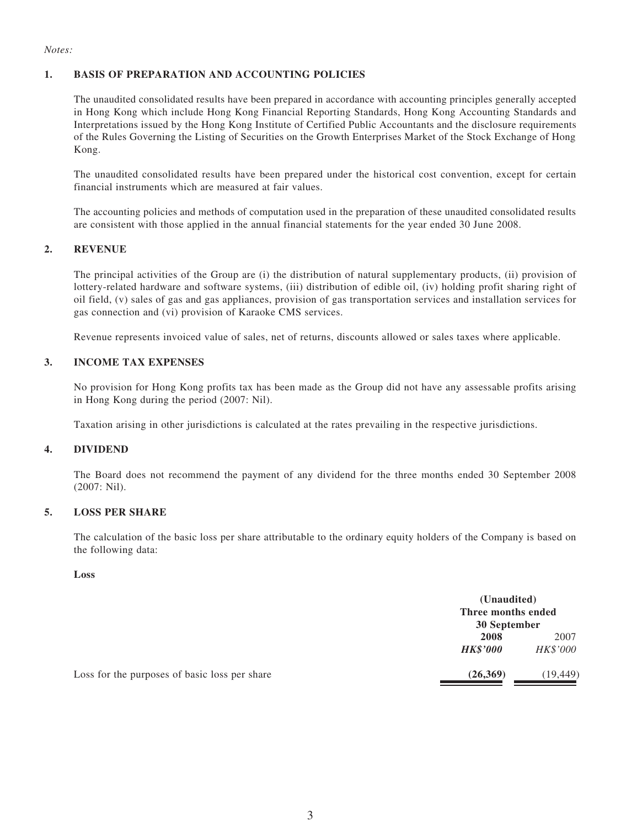#### *Notes:*

#### **1. BASIS OF PREPARATION AND ACCOUNTING POLICIES**

The unaudited consolidated results have been prepared in accordance with accounting principles generally accepted in Hong Kong which include Hong Kong Financial Reporting Standards, Hong Kong Accounting Standards and Interpretations issued by the Hong Kong Institute of Certified Public Accountants and the disclosure requirements of the Rules Governing the Listing of Securities on the Growth Enterprises Market of the Stock Exchange of Hong Kong.

The unaudited consolidated results have been prepared under the historical cost convention, except for certain financial instruments which are measured at fair values.

The accounting policies and methods of computation used in the preparation of these unaudited consolidated results are consistent with those applied in the annual financial statements for the year ended 30 June 2008.

#### **2. REVENUE**

The principal activities of the Group are (i) the distribution of natural supplementary products, (ii) provision of lottery-related hardware and software systems, (iii) distribution of edible oil, (iv) holding profit sharing right of oil field, (v) sales of gas and gas appliances, provision of gas transportation services and installation services for gas connection and (vi) provision of Karaoke CMS services.

Revenue represents invoiced value of sales, net of returns, discounts allowed or sales taxes where applicable.

#### **3. INCOME TAX EXPENSES**

No provision for Hong Kong profits tax has been made as the Group did not have any assessable profits arising in Hong Kong during the period (2007: Nil).

Taxation arising in other jurisdictions is calculated at the rates prevailing in the respective jurisdictions.

#### **4. DIVIDEND**

The Board does not recommend the payment of any dividend for the three months ended 30 September 2008 (2007: Nil).

#### **5. LOSS PER SHARE**

The calculation of the basic loss per share attributable to the ordinary equity holders of the Company is based on the following data:

#### **Loss**

|                                               | (Unaudited)<br>Three months ended<br>30 September |           |
|-----------------------------------------------|---------------------------------------------------|-----------|
|                                               | 2008                                              | 2007      |
|                                               | <b>HK\$'000</b>                                   | HK\$'000  |
| Loss for the purposes of basic loss per share | (26,369)                                          | (19, 449) |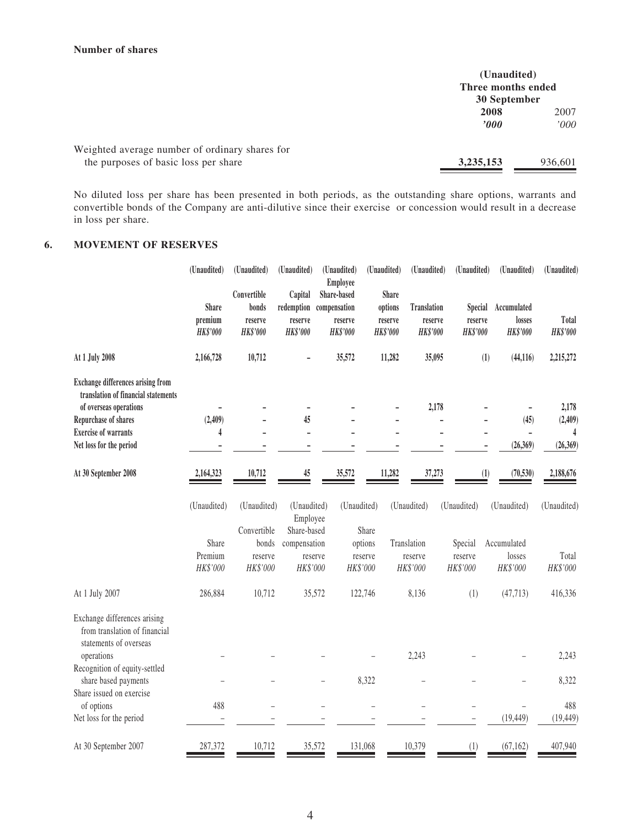|                                                                                        | (Unaudited)<br>Three months ended<br>30 September |               |
|----------------------------------------------------------------------------------------|---------------------------------------------------|---------------|
|                                                                                        | 2008<br>'000                                      | 2007<br>'000' |
| Weighted average number of ordinary shares for<br>the purposes of basic loss per share | 3, 235, 153                                       | 936.601       |

No diluted loss per share has been presented in both periods, as the outstanding share options, warrants and convertible bonds of the Company are anti-dilutive since their exercise or concession would result in a decrease in loss per share.

#### **6. MOVEMENT OF RESERVES**

| (Unaudited)                                | (Unaudited)                                                    | (Unaudited)                                           | (Unaudited)                               |                                                                                                                               |                                                                                                         | (Unaudited)                                                                              |                                                                        | (Unaudited)                                          | (Unaudited)                                                                                                                                     |
|--------------------------------------------|----------------------------------------------------------------|-------------------------------------------------------|-------------------------------------------|-------------------------------------------------------------------------------------------------------------------------------|---------------------------------------------------------------------------------------------------------|------------------------------------------------------------------------------------------|------------------------------------------------------------------------|------------------------------------------------------|-------------------------------------------------------------------------------------------------------------------------------------------------|
| <b>Share</b><br>premium<br><b>HK\$'000</b> | Convertible<br>bonds<br>reserve<br><b>HK\$'000</b>             | Capital<br>reserve<br><b>HK\$'000</b>                 | Share-based<br>reserve<br><b>HK\$'000</b> |                                                                                                                               |                                                                                                         | <b>Translation</b><br><b>HK\$'000</b>                                                    |                                                                        | Accumulated<br>losses<br><b>HK\$'000</b>             | Total<br><b>HK\$'000</b>                                                                                                                        |
| 2,166,728                                  | 10,712                                                         |                                                       | 35,572                                    |                                                                                                                               |                                                                                                         | 35,095                                                                                   |                                                                        | (44, 116)                                            | 2,215,272                                                                                                                                       |
|                                            |                                                                |                                                       |                                           |                                                                                                                               |                                                                                                         | 2,178                                                                                    |                                                                        |                                                      | 2,178                                                                                                                                           |
|                                            |                                                                |                                                       |                                           |                                                                                                                               |                                                                                                         |                                                                                          |                                                                        |                                                      | (2, 409)                                                                                                                                        |
|                                            |                                                                |                                                       |                                           |                                                                                                                               |                                                                                                         |                                                                                          |                                                                        |                                                      | 4                                                                                                                                               |
|                                            |                                                                |                                                       |                                           |                                                                                                                               |                                                                                                         |                                                                                          |                                                                        |                                                      | (26, 369)                                                                                                                                       |
| 2,164,323                                  | 10,712                                                         | 45                                                    | 35,572                                    |                                                                                                                               |                                                                                                         | 37,273                                                                                   |                                                                        | (70, 530)                                            | 2,188,676                                                                                                                                       |
| (Unaudited)                                | (Unaudited)                                                    |                                                       |                                           |                                                                                                                               |                                                                                                         |                                                                                          |                                                                        | (Unaudited)                                          | (Unaudited)                                                                                                                                     |
|                                            |                                                                |                                                       |                                           |                                                                                                                               |                                                                                                         |                                                                                          |                                                                        |                                                      |                                                                                                                                                 |
|                                            |                                                                |                                                       |                                           |                                                                                                                               |                                                                                                         |                                                                                          |                                                                        |                                                      |                                                                                                                                                 |
|                                            |                                                                |                                                       |                                           |                                                                                                                               |                                                                                                         |                                                                                          |                                                                        |                                                      | Total                                                                                                                                           |
|                                            |                                                                |                                                       |                                           |                                                                                                                               |                                                                                                         |                                                                                          |                                                                        |                                                      | HK\$'000                                                                                                                                        |
| 286,884                                    | 10,712                                                         |                                                       |                                           |                                                                                                                               |                                                                                                         | 8,136                                                                                    | (1)                                                                    | (47, 713)                                            | 416,336                                                                                                                                         |
|                                            |                                                                |                                                       |                                           |                                                                                                                               |                                                                                                         |                                                                                          |                                                                        |                                                      |                                                                                                                                                 |
|                                            |                                                                |                                                       |                                           |                                                                                                                               |                                                                                                         | 2,243                                                                                    |                                                                        |                                                      | 2,243                                                                                                                                           |
|                                            |                                                                |                                                       |                                           |                                                                                                                               |                                                                                                         |                                                                                          |                                                                        |                                                      |                                                                                                                                                 |
|                                            |                                                                |                                                       |                                           |                                                                                                                               |                                                                                                         |                                                                                          |                                                                        |                                                      | 8,322                                                                                                                                           |
|                                            |                                                                |                                                       |                                           |                                                                                                                               |                                                                                                         |                                                                                          |                                                                        |                                                      | 488                                                                                                                                             |
|                                            |                                                                |                                                       |                                           |                                                                                                                               |                                                                                                         |                                                                                          |                                                                        | (19, 449)                                            | (19, 449)                                                                                                                                       |
|                                            |                                                                |                                                       |                                           |                                                                                                                               |                                                                                                         |                                                                                          |                                                                        |                                                      | 407,940                                                                                                                                         |
|                                            | (2,409)<br>4<br>Share<br>Premium<br>HK\$'000<br>488<br>287,372 | Convertible<br>bonds<br>reserve<br>HK\$'000<br>10,712 | redemption<br>45<br>$\overline{a}$        | Employee<br>compensation<br>(Unaudited)<br>Employee<br>Share-based<br>compensation<br>reserve<br>HK\$'000<br>35,572<br>35,572 | (Unaudited)<br>Share<br>options<br>reserve<br>HK\$'000<br>122,746<br>8,322<br>$\overline{a}$<br>131,068 | (Unaudited)<br><b>Share</b><br>options<br>reserve<br><b>HK\$'000</b><br>11,282<br>11,282 | reserve<br>(Unaudited)<br>Translation<br>reserve<br>HK\$'000<br>10,379 | (Unaudited)<br>Special<br>reserve<br>HK\$'000<br>(1) | (Unaudited)<br><b>Special</b><br>reserve<br><b>HK\$'000</b><br>(1)<br>(45)<br>(26,369)<br>(1)<br>Accumulated<br>losses<br>HK\$'000<br>(67, 162) |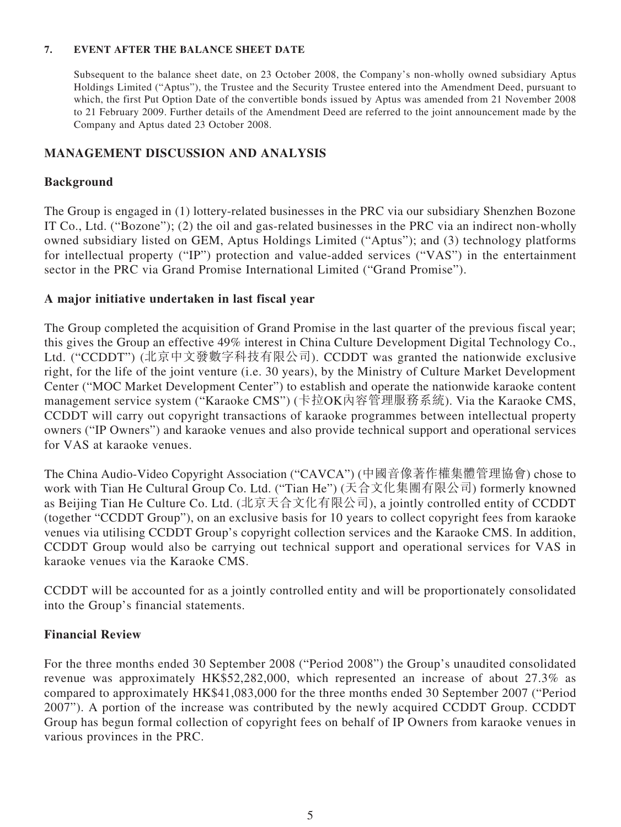### **7. EVENT AFTER THE BALANCE SHEET DATE**

Subsequent to the balance sheet date, on 23 October 2008, the Company's non-wholly owned subsidiary Aptus Holdings Limited ("Aptus"), the Trustee and the Security Trustee entered into the Amendment Deed, pursuant to which, the first Put Option Date of the convertible bonds issued by Aptus was amended from 21 November 2008 to 21 February 2009. Further details of the Amendment Deed are referred to the joint announcement made by the Company and Aptus dated 23 October 2008.

### **MANAGEMENT DISCUSSION AND ANALYSIS**

### **Background**

The Group is engaged in (1) lottery-related businesses in the PRC via our subsidiary Shenzhen Bozone IT Co., Ltd. ("Bozone"); (2) the oil and gas-related businesses in the PRC via an indirect non-wholly owned subsidiary listed on GEM, Aptus Holdings Limited ("Aptus"); and (3) technology platforms for intellectual property ("IP") protection and value-added services ("VAS") in the entertainment sector in the PRC via Grand Promise International Limited ("Grand Promise").

### **A major initiative undertaken in last fiscal year**

The Group completed the acquisition of Grand Promise in the last quarter of the previous fiscal year; this gives the Group an effective 49% interest in China Culture Development Digital Technology Co., Ltd. ("CCDDT") (北京中文發數字科技有限公司). CCDDT was granted the nationwide exclusive right, for the life of the joint venture (i.e. 30 years), by the Ministry of Culture Market Development Center ("MOC Market Development Center") to establish and operate the nationwide karaoke content management service system ("Karaoke CMS") (卡拉OK內容管理服務系統). Via the Karaoke CMS, CCDDT will carry out copyright transactions of karaoke programmes between intellectual property owners ("IP Owners") and karaoke venues and also provide technical support and operational services for VAS at karaoke venues.

The China Audio-Video Copyright Association ("CAVCA") (中國音像著作權集體管理協會) chose to work with Tian He Cultural Group Co. Ltd. ("Tian He") (天合文化集團有限公司) formerly knowned as Beijing Tian He Culture Co. Ltd. (北京天合文化有限公司), a jointly controlled entity of CCDDT (together "CCDDT Group"), on an exclusive basis for 10 years to collect copyright fees from karaoke venues via utilising CCDDT Group's copyright collection services and the Karaoke CMS. In addition, CCDDT Group would also be carrying out technical support and operational services for VAS in karaoke venues via the Karaoke CMS.

CCDDT will be accounted for as a jointly controlled entity and will be proportionately consolidated into the Group's financial statements.

### **Financial Review**

For the three months ended 30 September 2008 ("Period 2008") the Group's unaudited consolidated revenue was approximately HK\$52,282,000, which represented an increase of about 27.3% as compared to approximately HK\$41,083,000 for the three months ended 30 September 2007 ("Period 2007"). A portion of the increase was contributed by the newly acquired CCDDT Group. CCDDT Group has begun formal collection of copyright fees on behalf of IP Owners from karaoke venues in various provinces in the PRC.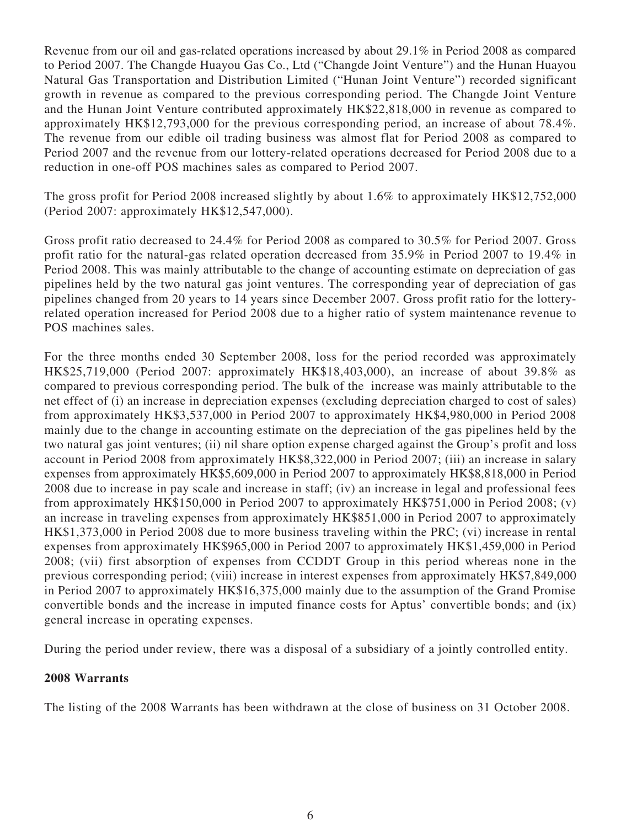Revenue from our oil and gas-related operations increased by about 29.1% in Period 2008 as compared to Period 2007. The Changde Huayou Gas Co., Ltd ("Changde Joint Venture") and the Hunan Huayou Natural Gas Transportation and Distribution Limited ("Hunan Joint Venture") recorded significant growth in revenue as compared to the previous corresponding period. The Changde Joint Venture and the Hunan Joint Venture contributed approximately HK\$22,818,000 in revenue as compared to approximately HK\$12,793,000 for the previous corresponding period, an increase of about 78.4%. The revenue from our edible oil trading business was almost flat for Period 2008 as compared to Period 2007 and the revenue from our lottery-related operations decreased for Period 2008 due to a reduction in one-off POS machines sales as compared to Period 2007.

The gross profit for Period 2008 increased slightly by about 1.6% to approximately HK\$12,752,000 (Period 2007: approximately HK\$12,547,000).

Gross profit ratio decreased to 24.4% for Period 2008 as compared to 30.5% for Period 2007. Gross profit ratio for the natural-gas related operation decreased from 35.9% in Period 2007 to 19.4% in Period 2008. This was mainly attributable to the change of accounting estimate on depreciation of gas pipelines held by the two natural gas joint ventures. The corresponding year of depreciation of gas pipelines changed from 20 years to 14 years since December 2007. Gross profit ratio for the lotteryrelated operation increased for Period 2008 due to a higher ratio of system maintenance revenue to POS machines sales.

For the three months ended 30 September 2008, loss for the period recorded was approximately HK\$25,719,000 (Period 2007: approximately HK\$18,403,000), an increase of about 39.8% as compared to previous corresponding period. The bulk of the increase was mainly attributable to the net effect of (i) an increase in depreciation expenses (excluding depreciation charged to cost of sales) from approximately HK\$3,537,000 in Period 2007 to approximately HK\$4,980,000 in Period 2008 mainly due to the change in accounting estimate on the depreciation of the gas pipelines held by the two natural gas joint ventures; (ii) nil share option expense charged against the Group's profit and loss account in Period 2008 from approximately HK\$8,322,000 in Period 2007; (iii) an increase in salary expenses from approximately HK\$5,609,000 in Period 2007 to approximately HK\$8,818,000 in Period 2008 due to increase in pay scale and increase in staff; (iv) an increase in legal and professional fees from approximately HK\$150,000 in Period 2007 to approximately HK\$751,000 in Period 2008; (v) an increase in traveling expenses from approximately HK\$851,000 in Period 2007 to approximately HK\$1,373,000 in Period 2008 due to more business traveling within the PRC; (vi) increase in rental expenses from approximately HK\$965,000 in Period 2007 to approximately HK\$1,459,000 in Period 2008; (vii) first absorption of expenses from CCDDT Group in this period whereas none in the previous corresponding period; (viii) increase in interest expenses from approximately HK\$7,849,000 in Period 2007 to approximately HK\$16,375,000 mainly due to the assumption of the Grand Promise convertible bonds and the increase in imputed finance costs for Aptus' convertible bonds; and (ix) general increase in operating expenses.

During the period under review, there was a disposal of a subsidiary of a jointly controlled entity.

## **2008 Warrants**

The listing of the 2008 Warrants has been withdrawn at the close of business on 31 October 2008.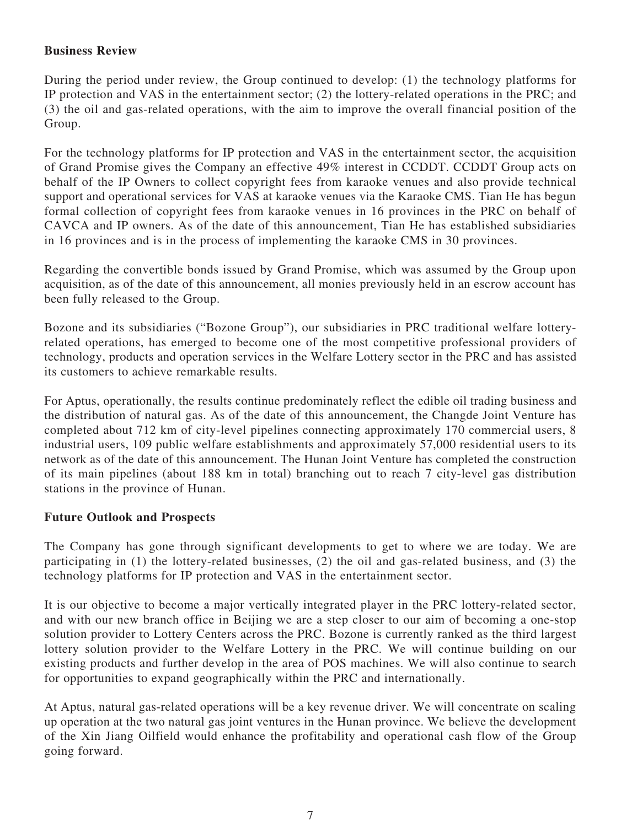## **Business Review**

During the period under review, the Group continued to develop: (1) the technology platforms for IP protection and VAS in the entertainment sector; (2) the lottery-related operations in the PRC; and (3) the oil and gas-related operations, with the aim to improve the overall financial position of the Group.

For the technology platforms for IP protection and VAS in the entertainment sector, the acquisition of Grand Promise gives the Company an effective 49% interest in CCDDT. CCDDT Group acts on behalf of the IP Owners to collect copyright fees from karaoke venues and also provide technical support and operational services for VAS at karaoke venues via the Karaoke CMS. Tian He has begun formal collection of copyright fees from karaoke venues in 16 provinces in the PRC on behalf of CAVCA and IP owners. As of the date of this announcement, Tian He has established subsidiaries in 16 provinces and is in the process of implementing the karaoke CMS in 30 provinces.

Regarding the convertible bonds issued by Grand Promise, which was assumed by the Group upon acquisition, as of the date of this announcement, all monies previously held in an escrow account has been fully released to the Group.

Bozone and its subsidiaries ("Bozone Group"), our subsidiaries in PRC traditional welfare lotteryrelated operations, has emerged to become one of the most competitive professional providers of technology, products and operation services in the Welfare Lottery sector in the PRC and has assisted its customers to achieve remarkable results.

For Aptus, operationally, the results continue predominately reflect the edible oil trading business and the distribution of natural gas. As of the date of this announcement, the Changde Joint Venture has completed about 712 km of city-level pipelines connecting approximately 170 commercial users, 8 industrial users, 109 public welfare establishments and approximately 57,000 residential users to its network as of the date of this announcement. The Hunan Joint Venture has completed the construction of its main pipelines (about 188 km in total) branching out to reach 7 city-level gas distribution stations in the province of Hunan.

## **Future Outlook and Prospects**

The Company has gone through significant developments to get to where we are today. We are participating in (1) the lottery-related businesses, (2) the oil and gas-related business, and (3) the technology platforms for IP protection and VAS in the entertainment sector.

It is our objective to become a major vertically integrated player in the PRC lottery-related sector, and with our new branch office in Beijing we are a step closer to our aim of becoming a one-stop solution provider to Lottery Centers across the PRC. Bozone is currently ranked as the third largest lottery solution provider to the Welfare Lottery in the PRC. We will continue building on our existing products and further develop in the area of POS machines. We will also continue to search for opportunities to expand geographically within the PRC and internationally.

At Aptus, natural gas-related operations will be a key revenue driver. We will concentrate on scaling up operation at the two natural gas joint ventures in the Hunan province. We believe the development of the Xin Jiang Oilfield would enhance the profitability and operational cash flow of the Group going forward.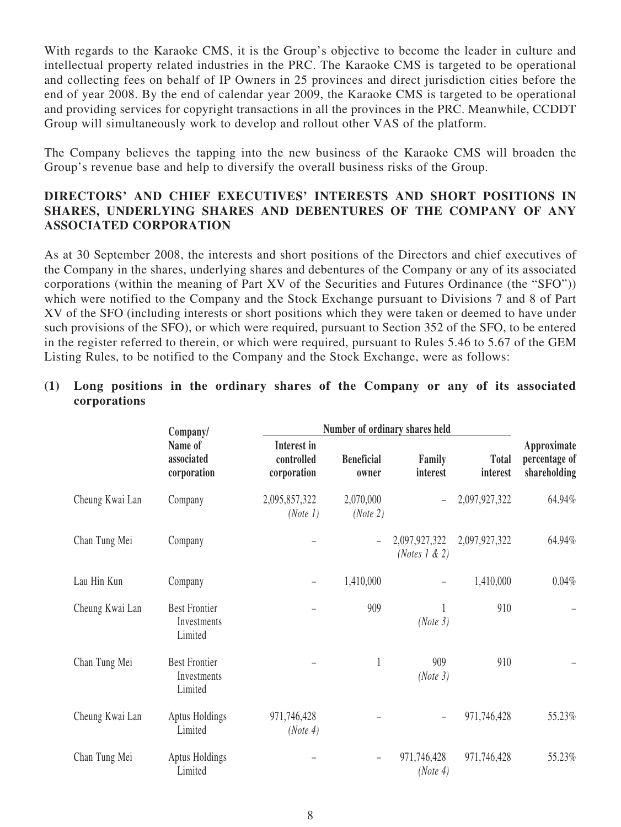With regards to the Karaoke CMS, it is the Group's objective to become the leader in culture and intellectual property related industries in the PRC. The Karaoke CMS is targeted to be operational and collecting fees on behalf of IP Owners in 25 provinces and direct jurisdiction cities before the end of year 2008. By the end of calendar year 2009, the Karaoke CMS is targeted to be operational and providing services for copyright transactions in all the provinces in the PRC. Meanwhile, CCDDT Group will simultaneously work to develop and rollout other VAS of the platform.

The Company believes the tapping into the new business of the Karaoke CMS will broaden the Group's revenue base and help to diversify the overall business risks of the Group.

## **DIRECTORS' AND CHIEF EXECUTIVES' INTERESTS AND SHORT POSITIONS IN SHARES, UNDERLYING SHARES AND DEBENTURES OF THE COMPANY OF ANY ASSOCIATED CORPORATION**

As at 30 September 2008, the interests and short positions of the Directors and chief executives of the Company in the shares, underlying shares and debentures of the Company or any of its associated corporations (within the meaning of Part XV of the Securities and Futures Ordinance (the "SFO")) which were notified to the Company and the Stock Exchange pursuant to Divisions 7 and 8 of Part XV of the SFO (including interests or short positions which they were taken or deemed to have under such provisions of the SFO), or which were required, pursuant to Section 352 of the SFO, to be entered in the register referred to therein, or which were required, pursuant to Rules 5.46 to 5.67 of the GEM Listing Rules, to be notified to the Company and the Stock Exchange, were as follows:

|                 | Company/                                       | Number of ordinary shares held           |                            |                                    |                          |                                              |
|-----------------|------------------------------------------------|------------------------------------------|----------------------------|------------------------------------|--------------------------|----------------------------------------------|
|                 | Name of<br>associated<br>corporation           | Interest in<br>controlled<br>corporation | <b>Beneficial</b><br>owner | Family<br>interest                 | <b>Total</b><br>interest | Approximate<br>percentage of<br>shareholding |
| Cheung Kwai Lan | Company                                        | 2,095,857,322<br>(Note 1)                | 2,070,000<br>(Note 2)      |                                    | 2,097,927,322            | 64.94%                                       |
| Chan Tung Mei   | Company                                        |                                          |                            | 2,097,927,322<br>(Notes $1 \& 2$ ) | 2,097,927,322            | 64.94%                                       |
| Lau Hin Kun     | Company                                        |                                          | 1,410,000                  |                                    | 1,410,000                | 0.04%                                        |
| Cheung Kwai Lan | <b>Best Frontier</b><br>Investments<br>Limited |                                          | 909                        | 1<br>(Note 3)                      | 910                      |                                              |
| Chan Tung Mei   | <b>Best Frontier</b><br>Investments<br>Limited |                                          | $\mathbf{1}$               | 909<br>(Note 3)                    | 910                      |                                              |
| Cheung Kwai Lan | Aptus Holdings<br>Limited                      | 971,746,428<br>(Note 4)                  |                            |                                    | 971,746,428              | 55.23%                                       |
| Chan Tung Mei   | Aptus Holdings<br>Limited                      |                                          |                            | 971,746,428<br>(Note 4)            | 971,746,428              | 55.23%                                       |

## **(1) Long positions in the ordinary shares of the Company or any of its associated corporations**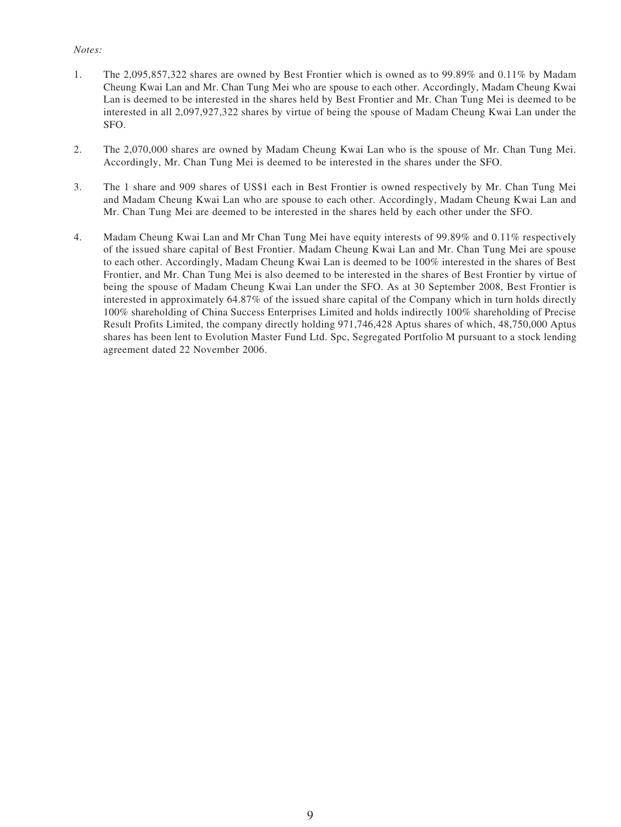#### *Notes:*

- 1. The 2,095,857,322 shares are owned by Best Frontier which is owned as to 99.89% and 0.11% by Madam Cheung Kwai Lan and Mr. Chan Tung Mei who are spouse to each other. Accordingly, Madam Cheung Kwai Lan is deemed to be interested in the shares held by Best Frontier and Mr. Chan Tung Mei is deemed to be interested in all 2,097,927,322 shares by virtue of being the spouse of Madam Cheung Kwai Lan under the SFO.
- 2. The 2,070,000 shares are owned by Madam Cheung Kwai Lan who is the spouse of Mr. Chan Tung Mei. Accordingly, Mr. Chan Tung Mei is deemed to be interested in the shares under the SFO.
- 3. The 1 share and 909 shares of US\$1 each in Best Frontier is owned respectively by Mr. Chan Tung Mei and Madam Cheung Kwai Lan who are spouse to each other. Accordingly, Madam Cheung Kwai Lan and Mr. Chan Tung Mei are deemed to be interested in the shares held by each other under the SFO.
- 4. Madam Cheung Kwai Lan and Mr Chan Tung Mei have equity interests of 99.89% and 0.11% respectively of the issued share capital of Best Frontier. Madam Cheung Kwai Lan and Mr. Chan Tung Mei are spouse to each other. Accordingly, Madam Cheung Kwai Lan is deemed to be 100% interested in the shares of Best Frontier, and Mr. Chan Tung Mei is also deemed to be interested in the shares of Best Frontier by virtue of being the spouse of Madam Cheung Kwai Lan under the SFO. As at 30 September 2008, Best Frontier is interested in approximately 64.87% of the issued share capital of the Company which in turn holds directly 100% shareholding of China Success Enterprises Limited and holds indirectly 100% shareholding of Precise Result Profits Limited, the company directly holding 971,746,428 Aptus shares of which, 48,750,000 Aptus shares has been lent to Evolution Master Fund Ltd. Spc, Segregated Portfolio M pursuant to a stock lending agreement dated 22 November 2006.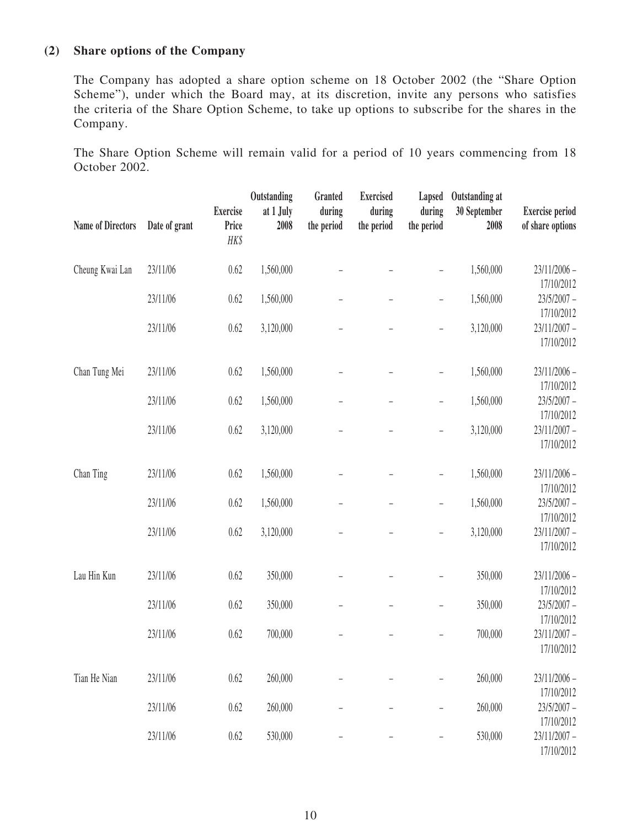## **(2) Share options of the Company**

The Company has adopted a share option scheme on 18 October 2002 (the "Share Option Scheme"), under which the Board may, at its discretion, invite any persons who satisfies the criteria of the Share Option Scheme, to take up options to subscribe for the shares in the Company.

The Share Option Scheme will remain valid for a period of 10 years commencing from 18 October 2002.

| <b>Name of Directors</b> | Date of grant | <b>Exercise</b><br>Price<br>HK\$ | Outstanding<br>at 1 July<br>2008 | Granted<br>during<br>the period | <b>Exercised</b><br>during<br>the period | Lapsed<br>during<br>the period | Outstanding at<br>30 September<br>2008 | <b>Exercise period</b><br>of share options |
|--------------------------|---------------|----------------------------------|----------------------------------|---------------------------------|------------------------------------------|--------------------------------|----------------------------------------|--------------------------------------------|
| Cheung Kwai Lan          | 23/11/06      | 0.62                             | 1,560,000                        |                                 |                                          |                                | 1,560,000                              | 23/11/2006 -<br>17/10/2012                 |
|                          | 23/11/06      | 0.62                             | 1,560,000                        |                                 | $\overline{\phantom{0}}$                 | $\overline{\phantom{0}}$       | 1,560,000                              | $23/5/2007 -$<br>17/10/2012                |
|                          | 23/11/06      | 0.62                             | 3,120,000                        |                                 |                                          | $\overline{\phantom{0}}$       | 3,120,000                              | $23/11/2007 -$<br>17/10/2012               |
| Chan Tung Mei            | 23/11/06      | 0.62                             | 1,560,000                        |                                 |                                          | $\overline{\phantom{0}}$       | 1,560,000                              | $23/11/2006$ -<br>17/10/2012               |
|                          | 23/11/06      | 0.62                             | 1,560,000                        |                                 |                                          | $\overline{a}$                 | 1,560,000                              | $23/5/2007 -$<br>17/10/2012                |
|                          | 23/11/06      | 0.62                             | 3,120,000                        |                                 |                                          | $\overline{a}$                 | 3,120,000                              | 23/11/2007 -<br>17/10/2012                 |
| Chan Ting                | 23/11/06      | 0.62                             | 1,560,000                        |                                 |                                          | $\overline{a}$                 | 1,560,000                              | $23/11/2006$ -<br>17/10/2012               |
|                          | 23/11/06      | 0.62                             | 1,560,000                        |                                 | $\overline{\phantom{0}}$                 | $\overline{\phantom{0}}$       | 1,560,000                              | $23/5/2007 -$<br>17/10/2012                |
|                          | 23/11/06      | 0.62                             | 3,120,000                        |                                 | $\overline{\phantom{0}}$                 | $\overline{a}$                 | 3,120,000                              | $23/11/2007 -$<br>17/10/2012               |
| Lau Hin Kun              | 23/11/06      | 0.62                             | 350,000                          |                                 |                                          | $\overline{a}$                 | 350,000                                | 23/11/2006 -<br>17/10/2012                 |
|                          | 23/11/06      | 0.62                             | 350,000                          |                                 | $\overline{\phantom{0}}$                 | $\overline{\phantom{0}}$       | 350,000                                | $23/5/2007 -$<br>17/10/2012                |
|                          | 23/11/06      | 0.62                             | 700,000                          |                                 |                                          |                                | 700,000                                | 23/11/2007 -<br>17/10/2012                 |
| Tian He Nian             | 23/11/06      | 0.62                             | 260,000                          |                                 |                                          |                                | 260,000                                | 23/11/2006 -<br>17/10/2012                 |
|                          | 23/11/06      | 0.62                             | 260,000                          |                                 |                                          | $\overline{\phantom{0}}$       | 260,000                                | $23/5/2007 -$<br>17/10/2012                |
|                          | 23/11/06      | 0.62                             | 530,000                          | $\qquad \qquad -$               | -                                        | $\overline{\phantom{a}}$       | 530,000                                | 23/11/2007 -<br>17/10/2012                 |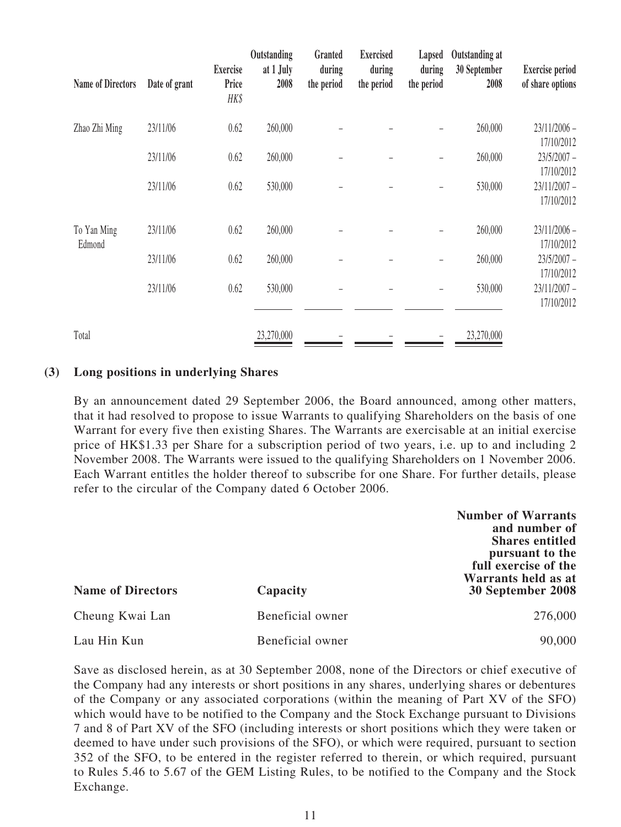| <b>Name of Directors</b> | Date of grant | <b>Exercise</b><br>Price<br>HK\$ | Outstanding<br>at 1 July<br>2008 | Granted<br>during<br>the period | <b>Exercised</b><br>during<br>the period | Lapsed<br>during<br>the period | Outstanding at<br>30 September<br>2008 | <b>Exercise period</b><br>of share options |
|--------------------------|---------------|----------------------------------|----------------------------------|---------------------------------|------------------------------------------|--------------------------------|----------------------------------------|--------------------------------------------|
| Zhao Zhi Ming            | 23/11/06      | 0.62                             | 260,000                          |                                 |                                          |                                | 260,000                                | $23/11/2006$ -<br>17/10/2012               |
|                          | 23/11/06      | 0.62                             | 260,000                          |                                 |                                          |                                | 260,000                                | $23/5/2007 -$<br>17/10/2012                |
|                          | 23/11/06      | 0.62                             | 530,000                          |                                 |                                          |                                | 530,000                                | 23/11/2007 -<br>17/10/2012                 |
| To Yan Ming<br>Edmond    | 23/11/06      | 0.62                             | 260,000                          |                                 |                                          |                                | 260,000                                | $23/11/2006$ -<br>17/10/2012               |
|                          | 23/11/06      | 0.62                             | 260,000                          |                                 |                                          |                                | 260,000                                | $23/5/2007 -$<br>17/10/2012                |
|                          | 23/11/06      | 0.62                             | 530,000                          |                                 |                                          |                                | 530,000                                | 23/11/2007 -<br>17/10/2012                 |
| Total                    |               |                                  | 23,270,000                       |                                 |                                          |                                | 23,270,000                             |                                            |

### **(3) Long positions in underlying Shares**

By an announcement dated 29 September 2006, the Board announced, among other matters, that it had resolved to propose to issue Warrants to qualifying Shareholders on the basis of one Warrant for every five then existing Shares. The Warrants are exercisable at an initial exercise price of HK\$1.33 per Share for a subscription period of two years, i.e. up to and including 2 November 2008. The Warrants were issued to the qualifying Shareholders on 1 November 2006. Each Warrant entitles the holder thereof to subscribe for one Share. For further details, please refer to the circular of the Company dated 6 October 2006.

| <b>Name of Directors</b> | Capacity         | <b>Number of Warrants</b><br>and number of<br><b>Shares entitled</b><br>pursuant to the<br>full exercise of the<br>Warrants held as at<br>30 September 2008 |
|--------------------------|------------------|-------------------------------------------------------------------------------------------------------------------------------------------------------------|
| Cheung Kwai Lan          | Beneficial owner | 276,000                                                                                                                                                     |
| Lau Hin Kun              | Beneficial owner | 90,000                                                                                                                                                      |

Save as disclosed herein, as at 30 September 2008, none of the Directors or chief executive of the Company had any interests or short positions in any shares, underlying shares or debentures of the Company or any associated corporations (within the meaning of Part XV of the SFO) which would have to be notified to the Company and the Stock Exchange pursuant to Divisions 7 and 8 of Part XV of the SFO (including interests or short positions which they were taken or deemed to have under such provisions of the SFO), or which were required, pursuant to section 352 of the SFO, to be entered in the register referred to therein, or which required, pursuant to Rules 5.46 to 5.67 of the GEM Listing Rules, to be notified to the Company and the Stock Exchange.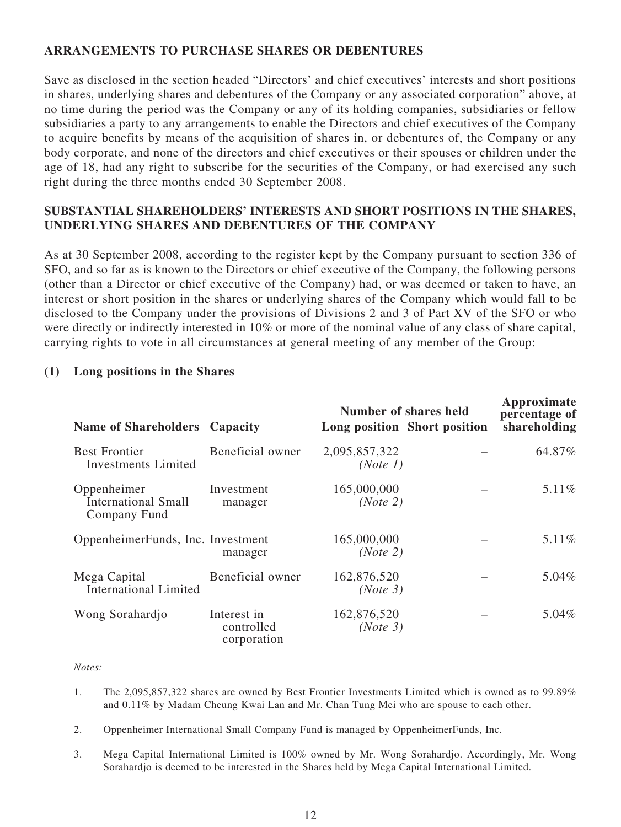## **ARRANGEMENTS TO PURCHASE SHARES OR DEBENTURES**

Save as disclosed in the section headed "Directors' and chief executives' interests and short positions in shares, underlying shares and debentures of the Company or any associated corporation" above, at no time during the period was the Company or any of its holding companies, subsidiaries or fellow subsidiaries a party to any arrangements to enable the Directors and chief executives of the Company to acquire benefits by means of the acquisition of shares in, or debentures of, the Company or any body corporate, and none of the directors and chief executives or their spouses or children under the age of 18, had any right to subscribe for the securities of the Company, or had exercised any such right during the three months ended 30 September 2008.

## **SUBSTANTIAL SHAREHOLDERS' INTERESTS AND SHORT POSITIONS IN THE SHARES, UNDERLYING SHARES AND DEBENTURES OF THE COMPANY**

As at 30 September 2008, according to the register kept by the Company pursuant to section 336 of SFO, and so far as is known to the Directors or chief executive of the Company, the following persons (other than a Director or chief executive of the Company) had, or was deemed or taken to have, an interest or short position in the shares or underlying shares of the Company which would fall to be disclosed to the Company under the provisions of Divisions 2 and 3 of Part XV of the SFO or who were directly or indirectly interested in 10% or more of the nominal value of any class of share capital, carrying rights to vote in all circumstances at general meeting of any member of the Group:

### **(1) Long positions in the Shares**

|                                                           |                                          | Number of shares held     | Approximate<br>percentage of |              |
|-----------------------------------------------------------|------------------------------------------|---------------------------|------------------------------|--------------|
| <b>Name of Shareholders Capacity</b>                      |                                          |                           | Long position Short position | shareholding |
| <b>Best Frontier</b><br>Investments Limited               | Beneficial owner                         | 2,095,857,322<br>(Note 1) |                              | 64.87%       |
| Oppenheimer<br><b>International Small</b><br>Company Fund | Investment<br>manager                    | 165,000,000<br>(Note 2)   |                              | 5.11%        |
| OppenheimerFunds, Inc. Investment                         | manager                                  | 165,000,000<br>(Note 2)   |                              | 5.11%        |
| Mega Capital<br><b>International Limited</b>              | Beneficial owner                         | 162,876,520<br>(Note 3)   |                              | 5.04%        |
| Wong Sorahardjo                                           | Interest in<br>controlled<br>corporation | 162,876,520<br>(Note 3)   |                              | 5.04%        |

#### *Notes:*

- 1. The 2,095,857,322 shares are owned by Best Frontier Investments Limited which is owned as to 99.89% and 0.11% by Madam Cheung Kwai Lan and Mr. Chan Tung Mei who are spouse to each other.
- 2. Oppenheimer International Small Company Fund is managed by OppenheimerFunds, Inc.
- 3. Mega Capital International Limited is 100% owned by Mr. Wong Sorahardjo. Accordingly, Mr. Wong Sorahardjo is deemed to be interested in the Shares held by Mega Capital International Limited.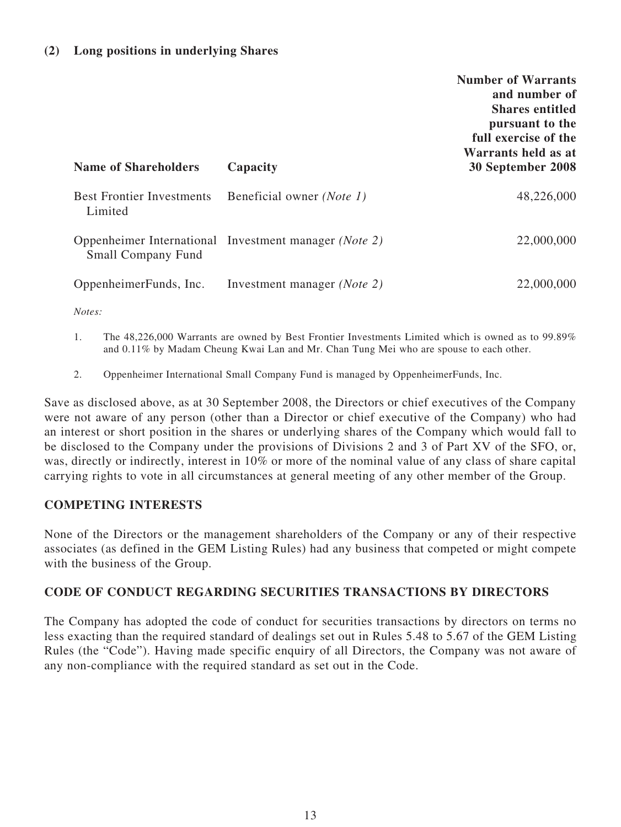### **(2) Long positions in underlying Shares**

| <b>Name of Shareholders</b>                 | Capacity                                              | <b>Number of Warrants</b><br>and number of<br><b>Shares entitled</b><br>pursuant to the<br>full exercise of the<br>Warrants held as at<br>30 September 2008 |
|---------------------------------------------|-------------------------------------------------------|-------------------------------------------------------------------------------------------------------------------------------------------------------------|
| <b>Best Frontier Investments</b><br>Limited | Beneficial owner (Note 1)                             | 48,226,000                                                                                                                                                  |
| <b>Small Company Fund</b>                   | Oppenheimer International Investment manager (Note 2) | 22,000,000                                                                                                                                                  |
| OppenheimerFunds, Inc.                      | Investment manager (Note 2)                           | 22,000,000                                                                                                                                                  |
| Notes:                                      |                                                       |                                                                                                                                                             |

1. The 48,226,000 Warrants are owned by Best Frontier Investments Limited which is owned as to 99.89% and 0.11% by Madam Cheung Kwai Lan and Mr. Chan Tung Mei who are spouse to each other.

2. Oppenheimer International Small Company Fund is managed by OppenheimerFunds, Inc.

Save as disclosed above, as at 30 September 2008, the Directors or chief executives of the Company were not aware of any person (other than a Director or chief executive of the Company) who had an interest or short position in the shares or underlying shares of the Company which would fall to be disclosed to the Company under the provisions of Divisions 2 and 3 of Part XV of the SFO, or, was, directly or indirectly, interest in 10% or more of the nominal value of any class of share capital carrying rights to vote in all circumstances at general meeting of any other member of the Group.

### **COMPETING INTERESTS**

None of the Directors or the management shareholders of the Company or any of their respective associates (as defined in the GEM Listing Rules) had any business that competed or might compete with the business of the Group.

### **CODE OF CONDUCT REGARDING SECURITIES TRANSACTIONS BY DIRECTORS**

The Company has adopted the code of conduct for securities transactions by directors on terms no less exacting than the required standard of dealings set out in Rules 5.48 to 5.67 of the GEM Listing Rules (the "Code"). Having made specific enquiry of all Directors, the Company was not aware of any non-compliance with the required standard as set out in the Code.